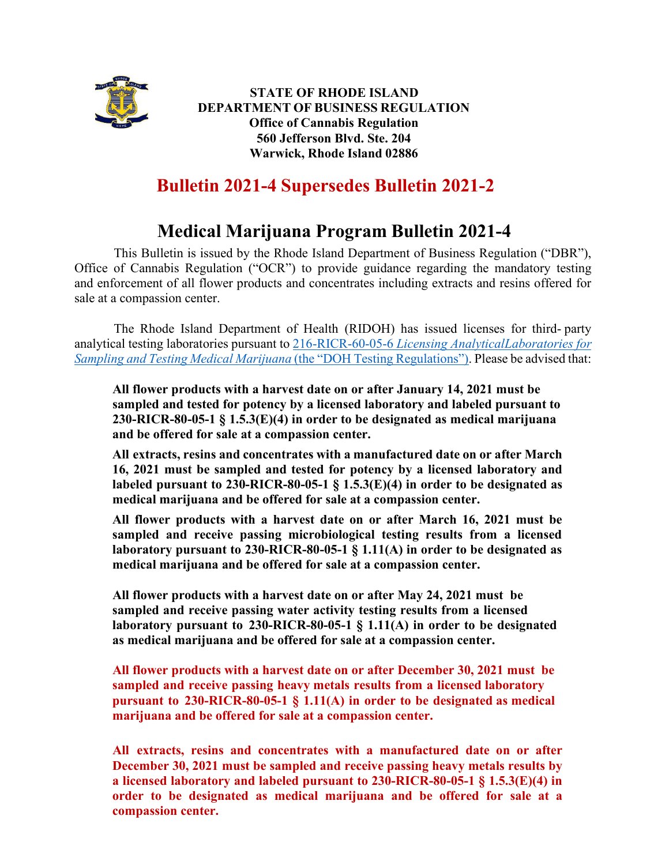

**STATE OF RHODE ISLAND DEPARTMENT OF BUSINESS REGULATION Office of Cannabis Regulation 560 Jefferson Blvd. Ste. 204 Warwick, Rhode Island 02886**

## **Bulletin 2021-4 Supersedes Bulletin 2021-2**

## **Medical Marijuana Program Bulletin 2021-4**

This Bulletin is issued by the Rhode Island Department of Business Regulation ("DBR"), Office of Cannabis Regulation ("OCR") to provide guidance regarding the mandatory testing and enforcement of all flower products and concentrates including extracts and resins offered for sale at a compassion center.

The Rhode Island Department of Health (RIDOH) has issued licenses for third- party analytical testing laboratories pursuant to 216-RICR-60-05-6 *Licensing Analytical Laboratories for Sampling and Testing Medical Marijuana* (the "DOH Testing Regulations"). Please be advised that:

**All flower products with a harvest date on or after January 14, 2021 must be sampled and tested for potency by a licensed laboratory and labeled pursuant to 230-RICR-80-05-1 § 1.5.3(E)(4) in order to be designated as medical marijuana and be offered for sale at a compassion center.**

**All extracts, resins and concentrates with a manufactured date on or after March 16, 2021 must be sampled and tested for potency by a licensed laboratory and labeled pursuant to 230-RICR-80-05-1 § 1.5.3(E)(4) in order to be designated as medical marijuana and be offered for sale at a compassion center.**

**All flower products with a harvest date on or after March 16, 2021 must be sampled and receive passing microbiological testing results from a licensed laboratory pursuant to 230-RICR-80-05-1 § 1.11(A) in order to be designated as medical marijuana and be offered for sale at a compassion center.**

**All flower products with a harvest date on or after May 24, 2021 must be sampled and receive passing water activity testing results from a licensed laboratory pursuant to 230-RICR-80-05-1 § 1.11(A) in order to be designated as medical marijuana and be offered for sale at a compassion center.**

**All flower products with a harvest date on or after December 30, 2021 must be sampled and receive passing heavy metals results from a licensed laboratory pursuant to 230-RICR-80-05-1 § 1.11(A) in order to be designated as medical marijuana and be offered for sale at a compassion center.**

**All extracts, resins and concentrates with a manufactured date on or after December 30, 2021 must be sampled and receive passing heavy metals results by a licensed laboratory and labeled pursuant to 230-RICR-80-05-1 § 1.5.3(E)(4) in order to be designated as medical marijuana and be offered for sale at a compassion center.**